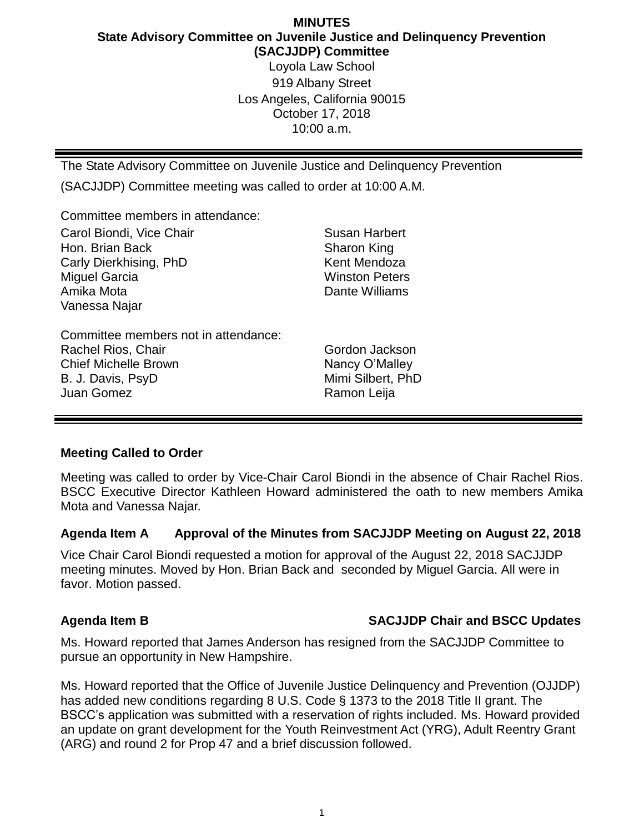# **MINUTES State Advisory Committee on Juvenile Justice and Delinquency Prevention (SACJJDP) Committee** Loyola Law School

919 Albany Street Los Angeles, California 90015 October 17, 2018 10:00 a.m.

The State Advisory Committee on Juvenile Justice and Delinquency Prevention

(SACJJDP) Committee meeting was called to order at 10:00 A.M.

Committee members in attendance:

| Carol Biondi, Vice Chair<br>Hon. Brian Back<br>Carly Dierkhising, PhD<br><b>Miguel Garcia</b><br>Amika Mota<br>Vanessa Najar | <b>Susan Harbert</b><br>Sharon King<br>Kent Mendoza<br><b>Winston Peters</b><br>Dante Williams |
|------------------------------------------------------------------------------------------------------------------------------|------------------------------------------------------------------------------------------------|
| Committee members not in attendance:<br>Rachel Rios, Chair<br><b>Chief Michelle Brown</b><br>B. J. Davis, PsyD<br>Juan Gomez | Gordon Jackson<br>Nancy O'Malley<br>Mimi Silbert, PhD<br>Ramon Leija                           |

## **Meeting Called to Order**

Meeting was called to order by Vice-Chair Carol Biondi in the absence of Chair Rachel Rios. BSCC Executive Director Kathleen Howard administered the oath to new members Amika Mota and Vanessa Najar.

## **Agenda Item A Approval of the Minutes from SACJJDP Meeting on August 22, 2018**

Vice Chair Carol Biondi requested a motion for approval of the August 22, 2018 SACJJDP meeting minutes. Moved by Hon. Brian Back and seconded by Miguel Garcia. All were in favor. Motion passed.

## **Agenda Item B SACJJDP Chair and BSCC Updates**

Ms. Howard reported that James Anderson has resigned from the SACJJDP Committee to pursue an opportunity in New Hampshire.

Ms. Howard reported that the Office of Juvenile Justice Delinquency and Prevention (OJJDP) has added new conditions regarding 8 U.S. Code § 1373 to the 2018 Title II grant. The BSCC's application was submitted with a reservation of rights included. Ms. Howard provided an update on grant development for the Youth Reinvestment Act (YRG), Adult Reentry Grant (ARG) and round 2 for Prop 47 and a brief discussion followed.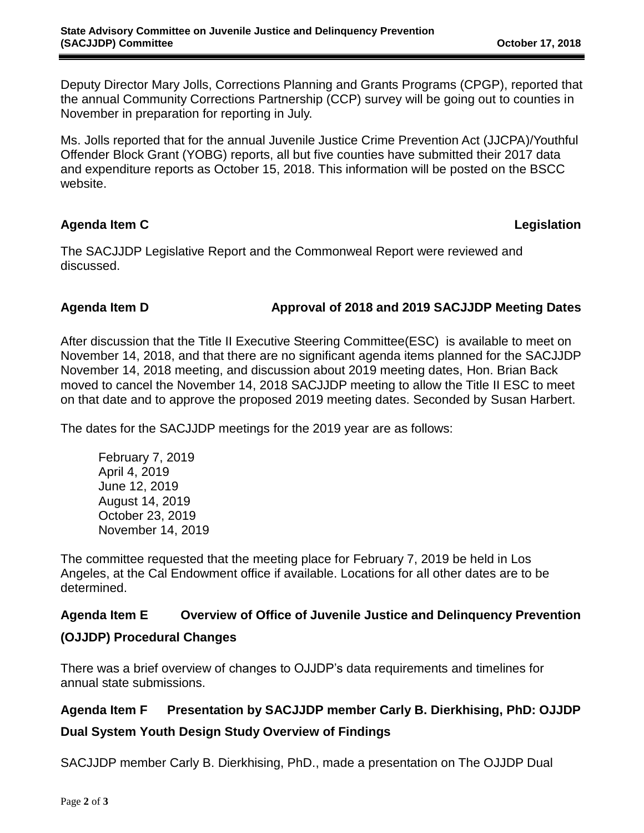Deputy Director Mary Jolls, Corrections Planning and Grants Programs (CPGP), reported that the annual Community Corrections Partnership (CCP) survey will be going out to counties in November in preparation for reporting in July.

Ms. Jolls reported that for the annual Juvenile Justice Crime Prevention Act (JJCPA)/Youthful Offender Block Grant (YOBG) reports, all but five counties have submitted their 2017 data and expenditure reports as October 15, 2018. This information will be posted on the BSCC website.

## **Agenda Item C Legislation**

The SACJJDP Legislative Report and the Commonweal Report were reviewed and discussed.

### **Agenda Item D Approval of 2018 and 2019 SACJJDP Meeting Dates**

After discussion that the Title II Executive Steering Committee(ESC) is available to meet on November 14, 2018, and that there are no significant agenda items planned for the SACJJDP November 14, 2018 meeting, and discussion about 2019 meeting dates, Hon. Brian Back moved to cancel the November 14, 2018 SACJJDP meeting to allow the Title II ESC to meet on that date and to approve the proposed 2019 meeting dates. Seconded by Susan Harbert.

The dates for the SACJJDP meetings for the 2019 year are as follows:

February 7, 2019 April 4, 2019 June 12, 2019 August 14, 2019 October 23, 2019 November 14, 2019

The committee requested that the meeting place for February 7, 2019 be held in Los Angeles, at the Cal Endowment office if available. Locations for all other dates are to be determined.

## **Agenda Item E Overview of Office of Juvenile Justice and Delinquency Prevention (OJJDP) Procedural Changes**

There was a brief overview of changes to OJJDP's data requirements and timelines for annual state submissions.

# **Agenda Item F Presentation by SACJJDP member Carly B. Dierkhising, PhD: OJJDP Dual System Youth Design Study Overview of Findings**

SACJJDP member Carly B. Dierkhising, PhD., made a presentation on The OJJDP Dual